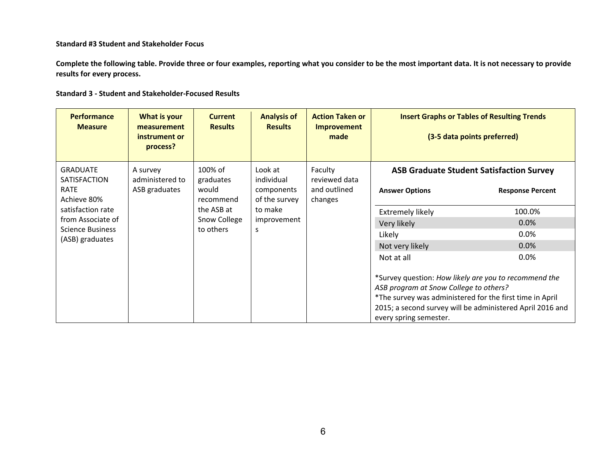## **Standard #3 Student and Stakeholder Focus**

**Complete the following table. Provide three or four examples, reporting what you consider to be the most important data. It is not necessary to provide results for every process.** 

|  |  |  |  | <b>Standard 3 - Student and Stakeholder-Focused Results</b> |  |
|--|--|--|--|-------------------------------------------------------------|--|
|--|--|--|--|-------------------------------------------------------------|--|

| <b>Performance</b><br><b>Measure</b>                                               | What is your<br>measurement<br>instrument or<br>process? | <b>Current</b><br><b>Results</b>                         | <b>Analysis of</b><br><b>Results</b>                                           | <b>Action Taken or</b><br><b>Improvement</b><br>made | <b>Insert Graphs or Tables of Resulting Trends</b><br>(3-5 data points preferred)                                                                                                                                                                  |                                                                            |  |
|------------------------------------------------------------------------------------|----------------------------------------------------------|----------------------------------------------------------|--------------------------------------------------------------------------------|------------------------------------------------------|----------------------------------------------------------------------------------------------------------------------------------------------------------------------------------------------------------------------------------------------------|----------------------------------------------------------------------------|--|
| <b>GRADUATE</b><br><b>SATISFACTION</b><br>RATE<br>Achieve 80%<br>satisfaction rate | A survey<br>administered to<br>ASB graduates             | 100% of<br>graduates<br>would<br>recommend<br>the ASB at | Look at<br>individual<br>components<br>of the survey<br>to make<br>improvement | Faculty<br>reviewed data<br>and outlined<br>changes  | <b>Answer Options</b>                                                                                                                                                                                                                              | <b>ASB Graduate Student Satisfaction Survey</b><br><b>Response Percent</b> |  |
|                                                                                    |                                                          |                                                          |                                                                                |                                                      | <b>Extremely likely</b>                                                                                                                                                                                                                            | 100.0%                                                                     |  |
| from Associate of                                                                  |                                                          | Snow College                                             |                                                                                |                                                      | Very likely                                                                                                                                                                                                                                        | 0.0%                                                                       |  |
| <b>Science Business</b><br>(ASB) graduates                                         |                                                          | to others                                                | S                                                                              |                                                      | Likely                                                                                                                                                                                                                                             | $0.0\%$                                                                    |  |
|                                                                                    |                                                          |                                                          |                                                                                |                                                      | Not very likely                                                                                                                                                                                                                                    | 0.0%                                                                       |  |
|                                                                                    |                                                          |                                                          |                                                                                |                                                      | Not at all                                                                                                                                                                                                                                         | $0.0\%$                                                                    |  |
|                                                                                    |                                                          |                                                          |                                                                                |                                                      | *Survey question: How likely are you to recommend the<br>ASB program at Snow College to others?<br>*The survey was administered for the first time in April<br>2015; a second survey will be administered April 2016 and<br>every spring semester. |                                                                            |  |